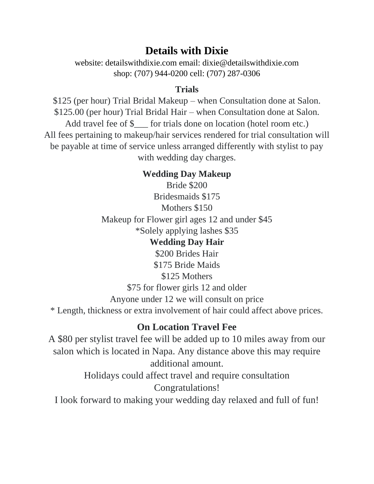# **Details with Dixie**

website: detailswithdixie.com email: dixie@detailswithdixie.com shop: (707) 944-0200 cell: (707) 287-0306

### **Trials**

\$125 (per hour) Trial Bridal Makeup – when Consultation done at Salon. \$125.00 (per hour) Trial Bridal Hair – when Consultation done at Salon. Add travel fee of \$\_\_\_ for trials done on location (hotel room etc.) All fees pertaining to makeup/hair services rendered for trial consultation will be payable at time of service unless arranged differently with stylist to pay with wedding day charges.

## **Wedding Day Makeup**

Bride \$200 Bridesmaids \$175 Mothers \$150 Makeup for Flower girl ages 12 and under \$45 \*Solely applying lashes \$35

### **Wedding Day Hair**

\$200 Brides Hair \$175 Bride Maids \$125 Mothers

\$75 for flower girls 12 and older

Anyone under 12 we will consult on price

\* Length, thickness or extra involvement of hair could affect above prices.

# **On Location Travel Fee**

A \$80 per stylist travel fee will be added up to 10 miles away from our salon which is located in Napa. Any distance above this may require additional amount. Holidays could affect travel and require consultation Congratulations! I look forward to making your wedding day relaxed and full of fun!